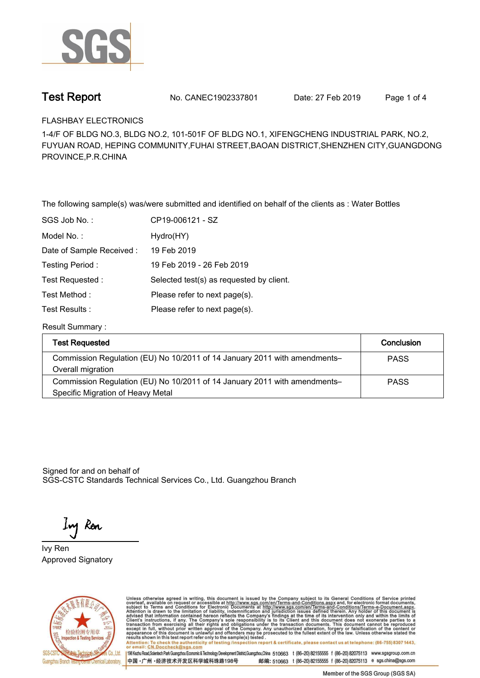

**Test Report. No. CANEC1902337801** Date: 27 Feb 2019 Page 1 of 4

**FLASHBAY ELECTRONICS.**

**1-4/F OF BLDG NO.3, BLDG NO.2, 101-501F OF BLDG NO.1, XIFENGCHENG INDUSTRIAL PARK, NO.2, FUYUAN ROAD, HEPING COMMUNITY,FUHAI STREET,BAOAN DISTRICT,SHENZHEN CITY,GUANGDONG PROVINCE,P.R.CHINA**

**The following sample(s) was/were submitted and identified on behalf of the clients as : Water Bottles.**

| SGS Job No.:             | CP19-006121 - SZ                         |
|--------------------------|------------------------------------------|
| Model No.:               | Hydro(HY)                                |
| Date of Sample Received: | 19 Feb 2019                              |
| Testing Period:          | 19 Feb 2019 - 26 Feb 2019                |
| Test Requested:          | Selected test(s) as requested by client. |
| Test Method:             | Please refer to next page(s).            |
| Test Results :           | Please refer to next page(s).            |
|                          |                                          |

**Result Summary :.**

| <b>Test Requested</b>                                                     | Conclusion  |
|---------------------------------------------------------------------------|-------------|
| Commission Regulation (EU) No 10/2011 of 14 January 2011 with amendments- | <b>PASS</b> |
| Overall migration                                                         |             |
| Commission Regulation (EU) No 10/2011 of 14 January 2011 with amendments- | <b>PASS</b> |
| Specific Migration of Heavy Metal                                         |             |

Signed for and on behalf of SGS-CSTC Standards Technical Services Co., Ltd. Guangzhou Branch.

Ing Ren

**Approved Signatory . . . Ivy Ren.**



Unless otherwise agreed in writing, this document is issued by the Company subject to its General Conditions of Service printed overleaf, available on request or accessible at http://www.sgs.com/en/Terms-and-Conditions.asp results shown in this test report ferer only to the sample(s) tested .<br>Attention: To check the authenticity of testing /inspection report & certificate, please contact us at telephone: (86-755) 8307 1443,<br>or email: <u>CN.Doc</u>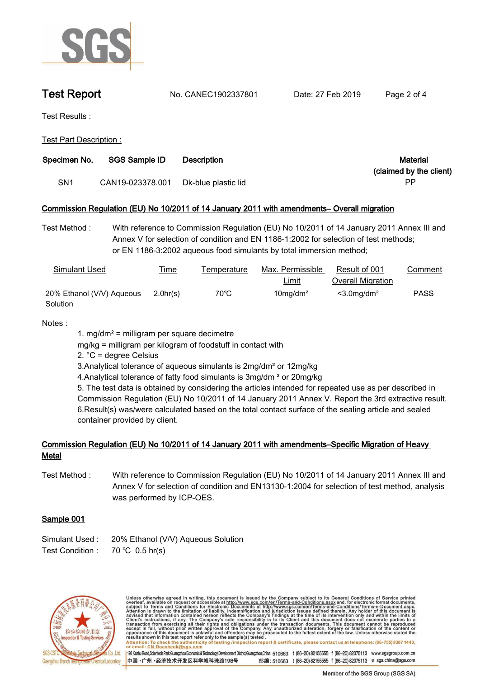

**Test Report. No. CANEC1902337801** Date: 27 Feb 2019 Page 2 of 4

**Test Results :.**

**Test Part Description :.**

| Specimen No.    | <b>SGS Sample ID</b> | <b>Description</b>  | Material                      |
|-----------------|----------------------|---------------------|-------------------------------|
| SN <sub>1</sub> | CAN19-023378.001     | Dk-blue plastic lid | (claimed by the client)<br>РP |

## **Commission Regulation (EU) No 10/2011 of 14 January 2011 with amendments– Overall migration.**

**Test Method :. With reference to Commission Regulation (EU) No 10/2011 of 14 January 2011 Annex III and Annex V for selection of condition and EN 1186-1:2002 for selection of test methods; or EN 1186-3:2002 aqueous food simulants by total immersion method;.**

| Simulant Used             | <b>Time</b> | Temperature    | Max. Permissible        | Result of 001             | Comment     |
|---------------------------|-------------|----------------|-------------------------|---------------------------|-------------|
|                           |             |                | <u>Limit</u>            | Overall Migration         |             |
| 20% Ethanol (V/V) Aqueous | 2.0hr(s)    | $70^{\circ}$ C | $10$ mg/dm <sup>2</sup> | $<$ 3.0mg/dm <sup>2</sup> | <b>PASS</b> |
| Solution                  |             |                |                         |                           |             |

## **Notes :.**

**1. mg/dm² = milligram per square decimetre**

**mg/kg = milligram per kilogram of foodstuff in contact with**

**2. °C = degree Celsius**

**3.Analytical tolerance of aqueous simulants is 2mg/dm² or 12mg/kg**

**4.Analytical tolerance of fatty food simulants is 3mg/dm ² or 20mg/kg**

**5. The test data is obtained by considering the articles intended for repeated use as per described in Commission Regulation (EU) No 10/2011 of 14 January 2011 Annex V. Report the 3rd extractive result. 6.Result(s) was/were calculated based on the total contact surface of the sealing article and sealed container provided by client..**

# Commission Regulation (EU) No 10/2011 of 14 January 2011 with amendments–Specific Migration of Heavy<br>Metal

**Test Method :. With reference to Commission Regulation (EU) No 10/2011 of 14 January 2011 Annex III and Annex V for selection of condition and EN13130-1:2004 for selection of test method, analysis was performed by ICP-OES..**

## **Sample 001.**

- **Simulant Used :. 20% Ethanol (V/V) Aqueous Solution..**
- **Test Condition :. 70.℃ 0.5.hr(s).**



Unless otherwise agreed in writing, this document is issued by the Company subject to its General Conditions of Service printed overleaf, available on request or accessible at http://www.sgs.com/en/Terms-and-Conditions.asp resums shown in mas lost report tells with one sample(s) lesied .<br>Attention: To check the authenticity of testing /inspection report & certificate, please contact us at telephone: (86-755) 8307 1443,<br>or email: <u>CN.Doccheck</u>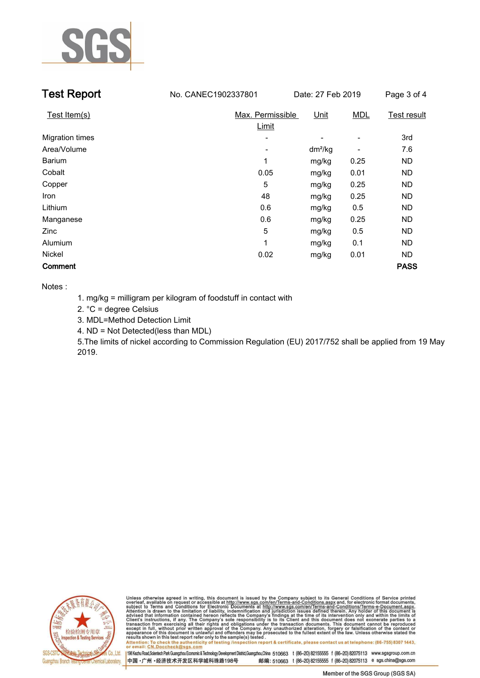

| <b>Test Report</b>     | No. CANEC1902337801       | Date: 27 Feb 2019 |            | Page 3 of 4        |
|------------------------|---------------------------|-------------------|------------|--------------------|
| Test Item(s)           | Max. Permissible<br>Limit | <u>Unit</u>       | <b>MDL</b> | <b>Test result</b> |
| <b>Migration times</b> |                           |                   |            | 3rd                |
| Area/Volume            | -                         | $dm^2/kg$         |            | 7.6                |
| <b>Barium</b>          | 1                         | mg/kg             | 0.25       | <b>ND</b>          |
| Cobalt                 | 0.05                      | mg/kg             | 0.01       | ND.                |
| Copper                 | 5                         | mg/kg             | 0.25       | ND.                |
| Iron                   | 48                        | mg/kg             | 0.25       | <b>ND</b>          |
| Lithium                | 0.6                       | mg/kg             | 0.5        | ND.                |
| Manganese              | 0.6                       | mg/kg             | 0.25       | <b>ND</b>          |
| Zinc                   | 5                         | mg/kg             | 0.5        | ND.                |
| Alumium                | 1                         | mg/kg             | 0.1        | ND                 |
| Nickel                 | 0.02                      | mg/kg             | 0.01       | <b>ND</b>          |
| Comment                |                           |                   |            | <b>PASS</b>        |

**Notes :**

**1. mg/kg = milligram per kilogram of foodstuff in contact with** 

**2. °C = degree Celsius**

**3. MDL=Method Detection Limit**

**4. ND = Not Detected(less than MDL)**

**5.The limits of nickel according to Commission Regulation (EU) 2017/752 shall be applied from 19 May 2019..**



Unless otherwise agreed in writing, this document is issued by the Company subject to its General Conditions of Service printed overleaf, available on request or accessible at http://www.sgs.com/en/Terms-and-Conditions.asp results shown in this test report refer only to the sample(s) tested .<br>Attention: To check the authenticity of testing /inspection report & certificate, please contact us at telephone: (86-755) 8307 1443,<br>or email: <u>CN.Doc</u>